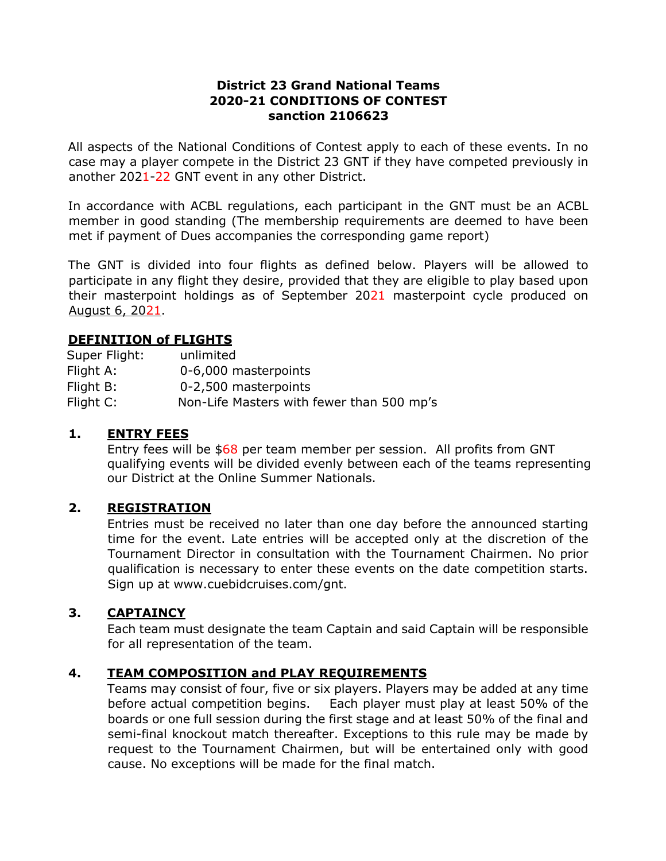### **District 23 Grand National Teams 2020-21 CONDITIONS OF CONTEST sanction 2106623**

All aspects of the National Conditions of Contest apply to each of these events. In no case may a player compete in the District 23 GNT if they have competed previously in another 2021-22 GNT event in any other District.

In accordance with ACBL regulations, each participant in the GNT must be an ACBL member in good standing (The membership requirements are deemed to have been met if payment of Dues accompanies the corresponding game report)

The GNT is divided into four flights as defined below. Players will be allowed to participate in any flight they desire, provided that they are eligible to play based upon their masterpoint holdings as of September 2021 masterpoint cycle produced on August 6, 2021.

### **DEFINITION of FLIGHTS**

| Super Flight: | unlimited                                 |
|---------------|-------------------------------------------|
| Flight A:     | 0-6,000 masterpoints                      |
| Flight B:     | 0-2,500 masterpoints                      |
| Flight C:     | Non-Life Masters with fewer than 500 mp's |

### **1. ENTRY FEES**

Entry fees will be \$68 per team member per session. All profits from GNT qualifying events will be divided evenly between each of the teams representing our District at the Online Summer Nationals.

## **2. REGISTRATION**

Entries must be received no later than one day before the announced starting time for the event. Late entries will be accepted only at the discretion of the Tournament Director in consultation with the Tournament Chairmen. No prior qualification is necessary to enter these events on the date competition starts. Sign up at www.cuebidcruises.com/gnt.

### **3. CAPTAINCY**

Each team must designate the team Captain and said Captain will be responsible for all representation of the team.

### **4. TEAM COMPOSITION and PLAY REQUIREMENTS**

Teams may consist of four, five or six players. Players may be added at any time before actual competition begins. Each player must play at least 50% of the boards or one full session during the first stage and at least 50% of the final and semi-final knockout match thereafter. Exceptions to this rule may be made by request to the Tournament Chairmen, but will be entertained only with good cause. No exceptions will be made for the final match.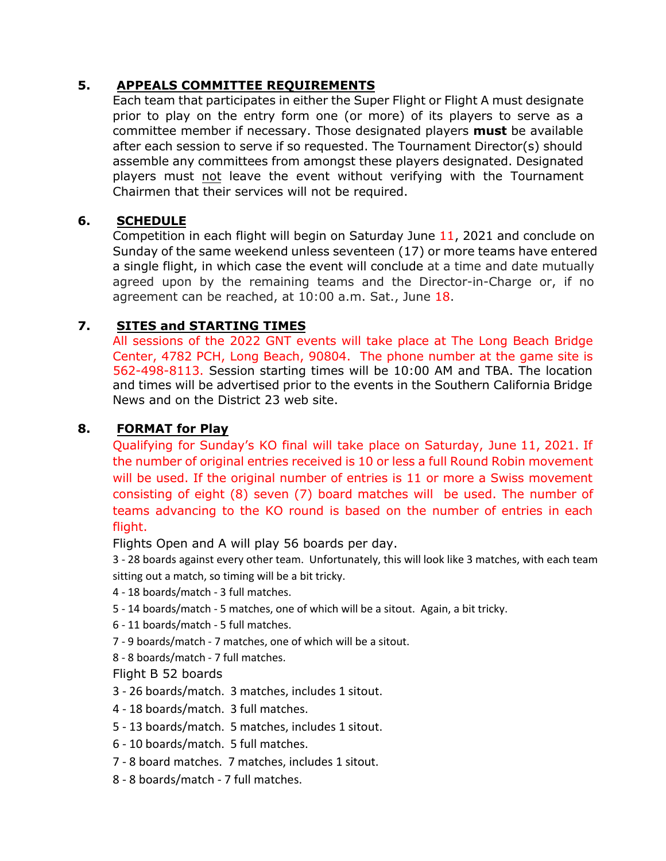## **5. APPEALS COMMITTEE REQUIREMENTS**

Each team that participates in either the Super Flight or Flight A must designate prior to play on the entry form one (or more) of its players to serve as a committee member if necessary. Those designated players **must** be available after each session to serve if so requested. The Tournament Director(s) should assemble any committees from amongst these players designated. Designated players must not leave the event without verifying with the Tournament Chairmen that their services will not be required.

# **6. SCHEDULE**

Competition in each flight will begin on Saturday June 11, 2021 and conclude on Sunday of the same weekend unless seventeen (17) or more teams have entered a single flight, in which case the event will conclude at a time and date mutually agreed upon by the remaining teams and the Director-in-Charge or, if no agreement can be reached, at 10:00 a.m. Sat., June 18.

# **7. SITES and STARTING TIMES**

All sessions of the 2022 GNT events will take place at The Long Beach Bridge Center, 4782 PCH, Long Beach, 90804. The phone number at the game site is 562-498-8113. Session starting times will be 10:00 AM and TBA. The location and times will be advertised prior to the events in the Southern California Bridge News and on the District 23 web site.

## **8. FORMAT for Play**

Qualifying for Sunday's KO final will take place on Saturday, June 11, 2021. If the number of original entries received is 10 or less a full Round Robin movement will be used. If the original number of entries is 11 or more a Swiss movement consisting of eight (8) seven (7) board matches will be used. The number of teams advancing to the KO round is based on the number of entries in each flight.

Flights Open and A will play 56 boards per day.

3 - 28 boards against every other team. Unfortunately, this will look like 3 matches, with each team sitting out a match, so timing will be a bit tricky.

- 4 18 boards/match 3 full matches.
- 5 14 boards/match 5 matches, one of which will be a sitout. Again, a bit tricky.
- 6 11 boards/match 5 full matches.
- 7 9 boards/match 7 matches, one of which will be a sitout.
- 8 8 boards/match 7 full matches.

### Flight B 52 boards

- 3 26 boards/match. 3 matches, includes 1 sitout.
- 4 18 boards/match. 3 full matches.
- 5 13 boards/match. 5 matches, includes 1 sitout.
- 6 10 boards/match. 5 full matches.
- 7 8 board matches. 7 matches, includes 1 sitout.
- 8 8 boards/match 7 full matches.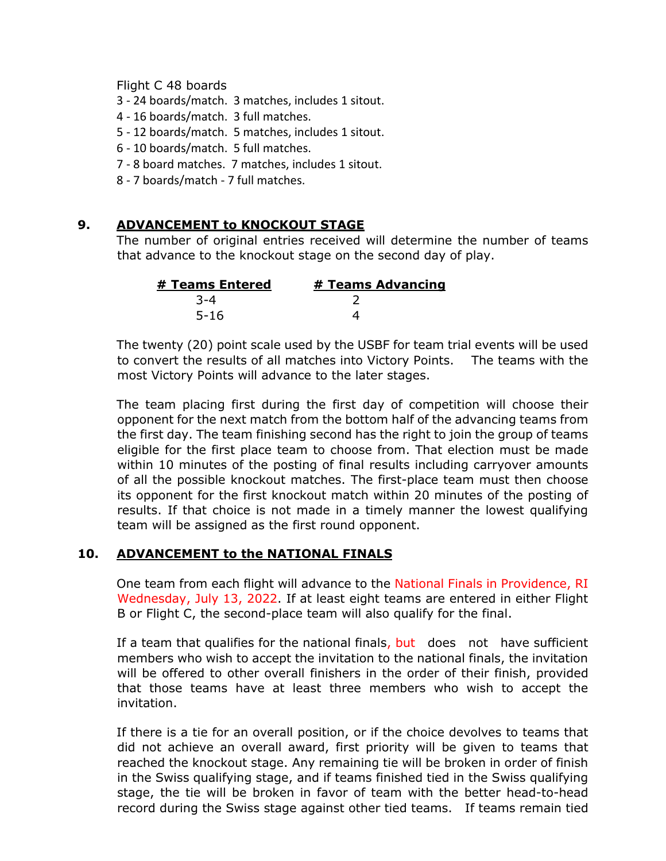#### Flight C 48 boards

3 - 24 boards/match. 3 matches, includes 1 sitout.

- 4 16 boards/match. 3 full matches.
- 5 12 boards/match. 5 matches, includes 1 sitout.
- 6 10 boards/match. 5 full matches.
- 7 8 board matches. 7 matches, includes 1 sitout.
- 8 7 boards/match 7 full matches.

### **9. ADVANCEMENT to KNOCKOUT STAGE**

The number of original entries received will determine the number of teams that advance to the knockout stage on the second day of play.

| # Teams Entered | <b># Teams Advancing</b> |
|-----------------|--------------------------|
| 3-4             |                          |
| $5 - 16$        |                          |

The twenty (20) point scale used by the USBF for team trial events will be used to convert the results of all matches into Victory Points. The teams with the most Victory Points will advance to the later stages.

The team placing first during the first day of competition will choose their opponent for the next match from the bottom half of the advancing teams from the first day. The team finishing second has the right to join the group of teams eligible for the first place team to choose from. That election must be made within 10 minutes of the posting of final results including carryover amounts of all the possible knockout matches. The first-place team must then choose its opponent for the first knockout match within 20 minutes of the posting of results. If that choice is not made in a timely manner the lowest qualifying team will be assigned as the first round opponent.

### **10. ADVANCEMENT to the NATIONAL FINALS**

One team from each flight will advance to the National Finals in Providence, RI Wednesday, July 13, 2022. If at least eight teams are entered in either Flight B or Flight C, the second-place team will also qualify for the final.

If a team that qualifies for the national finals, but does not have sufficient members who wish to accept the invitation to the national finals, the invitation will be offered to other overall finishers in the order of their finish, provided that those teams have at least three members who wish to accept the invitation.

If there is a tie for an overall position, or if the choice devolves to teams that did not achieve an overall award, first priority will be given to teams that reached the knockout stage. Any remaining tie will be broken in order of finish in the Swiss qualifying stage, and if teams finished tied in the Swiss qualifying stage, the tie will be broken in favor of team with the better head-to-head record during the Swiss stage against other tied teams. If teams remain tied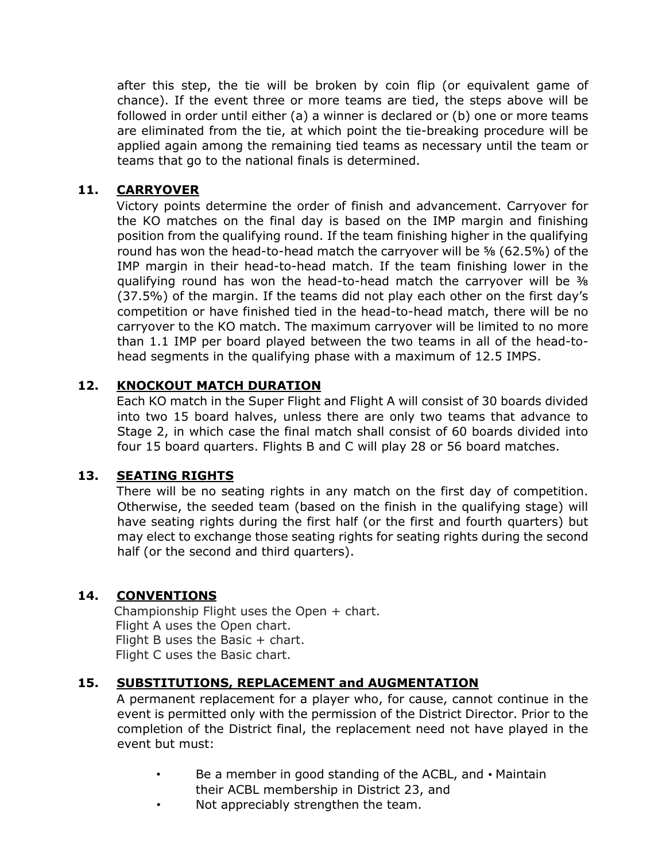after this step, the tie will be broken by coin flip (or equivalent game of chance). If the event three or more teams are tied, the steps above will be followed in order until either (a) a winner is declared or (b) one or more teams are eliminated from the tie, at which point the tie-breaking procedure will be applied again among the remaining tied teams as necessary until the team or teams that go to the national finals is determined.

### **11. CARRYOVER**

Victory points determine the order of finish and advancement. Carryover for the KO matches on the final day is based on the IMP margin and finishing position from the qualifying round. If the team finishing higher in the qualifying round has won the head-to-head match the carryover will be ⅝ (62.5%) of the IMP margin in their head-to-head match. If the team finishing lower in the qualifying round has won the head-to-head match the carryover will be 3/8 (37.5%) of the margin. If the teams did not play each other on the first day's competition or have finished tied in the head-to-head match, there will be no carryover to the KO match. The maximum carryover will be limited to no more than 1.1 IMP per board played between the two teams in all of the head-tohead segments in the qualifying phase with a maximum of 12.5 IMPS.

### **12. KNOCKOUT MATCH DURATION**

Each KO match in the Super Flight and Flight A will consist of 30 boards divided into two 15 board halves, unless there are only two teams that advance to Stage 2, in which case the final match shall consist of 60 boards divided into four 15 board quarters. Flights B and C will play 28 or 56 board matches.

### **13. SEATING RIGHTS**

There will be no seating rights in any match on the first day of competition. Otherwise, the seeded team (based on the finish in the qualifying stage) will have seating rights during the first half (or the first and fourth quarters) but may elect to exchange those seating rights for seating rights during the second half (or the second and third quarters).

### **14. CONVENTIONS**

Championship Flight uses the Open + chart. Flight A uses the Open chart. Flight B uses the Basic  $+$  chart. Flight C uses the Basic chart.

### **15. SUBSTITUTIONS, REPLACEMENT and AUGMENTATION**

A permanent replacement for a player who, for cause, cannot continue in the event is permitted only with the permission of the District Director. Prior to the completion of the District final, the replacement need not have played in the event but must:

- Be a member in good standing of the ACBL, and Maintain their ACBL membership in District 23, and
- Not appreciably strengthen the team.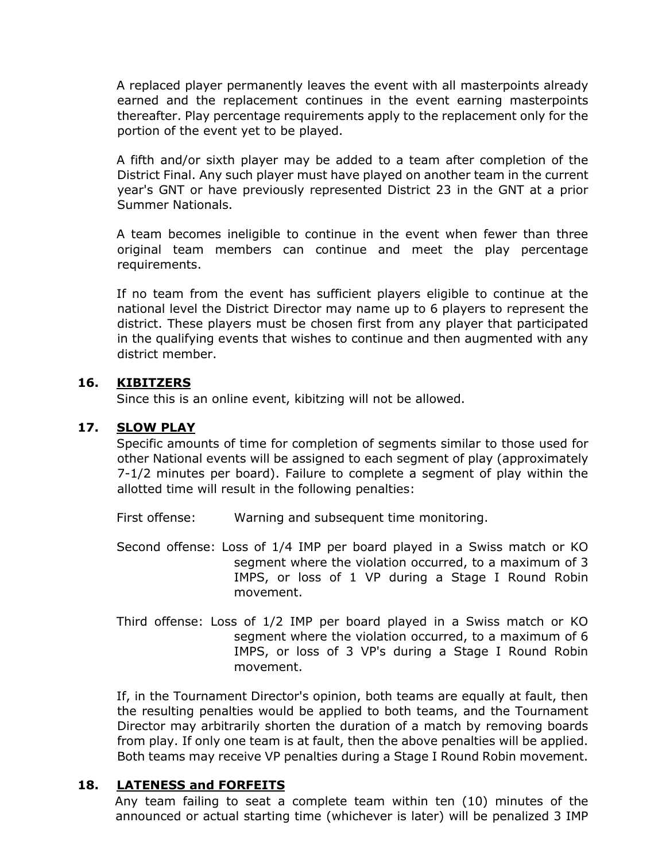A replaced player permanently leaves the event with all masterpoints already earned and the replacement continues in the event earning masterpoints thereafter. Play percentage requirements apply to the replacement only for the portion of the event yet to be played.

A fifth and/or sixth player may be added to a team after completion of the District Final. Any such player must have played on another team in the current year's GNT or have previously represented District 23 in the GNT at a prior Summer Nationals.

A team becomes ineligible to continue in the event when fewer than three original team members can continue and meet the play percentage requirements.

If no team from the event has sufficient players eligible to continue at the national level the District Director may name up to 6 players to represent the district. These players must be chosen first from any player that participated in the qualifying events that wishes to continue and then augmented with any district member.

### **16. KIBITZERS**

Since this is an online event, kibitzing will not be allowed.

## **17. SLOW PLAY**

Specific amounts of time for completion of segments similar to those used for other National events will be assigned to each segment of play (approximately 7-1/2 minutes per board). Failure to complete a segment of play within the allotted time will result in the following penalties:

First offense: Warning and subsequent time monitoring.

- Second offense: Loss of 1/4 IMP per board played in a Swiss match or KO segment where the violation occurred, to a maximum of 3 IMPS, or loss of 1 VP during a Stage I Round Robin movement.
- Third offense: Loss of 1/2 IMP per board played in a Swiss match or KO segment where the violation occurred, to a maximum of 6 IMPS, or loss of 3 VP's during a Stage I Round Robin movement.

If, in the Tournament Director's opinion, both teams are equally at fault, then the resulting penalties would be applied to both teams, and the Tournament Director may arbitrarily shorten the duration of a match by removing boards from play. If only one team is at fault, then the above penalties will be applied. Both teams may receive VP penalties during a Stage I Round Robin movement.

## **18. LATENESS and FORFEITS**

Any team failing to seat a complete team within ten (10) minutes of the announced or actual starting time (whichever is later) will be penalized 3 IMP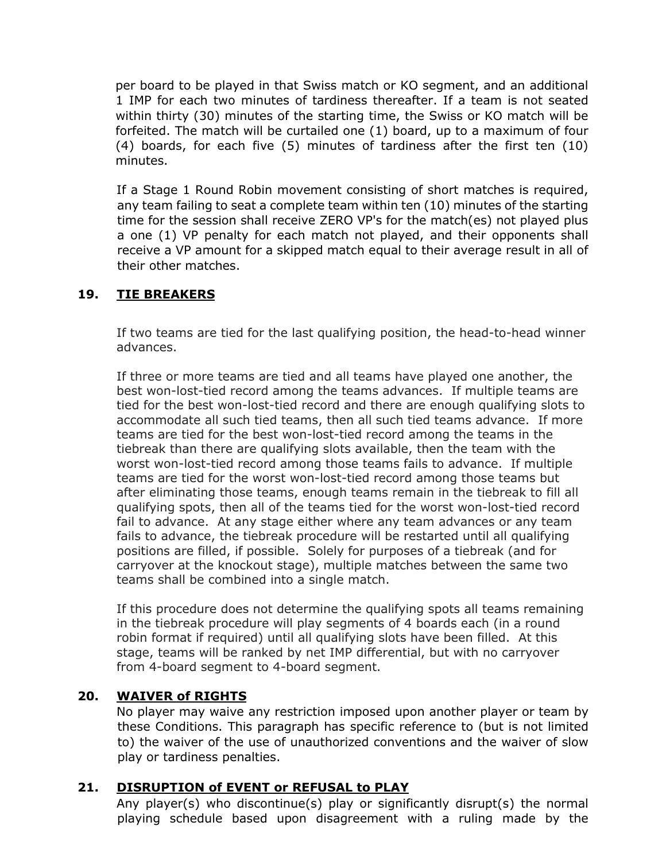per board to be played in that Swiss match or KO segment, and an additional 1 IMP for each two minutes of tardiness thereafter. If a team is not seated within thirty (30) minutes of the starting time, the Swiss or KO match will be forfeited. The match will be curtailed one (1) board, up to a maximum of four (4) boards, for each five (5) minutes of tardiness after the first ten (10) minutes.

If a Stage 1 Round Robin movement consisting of short matches is required, any team failing to seat a complete team within ten (10) minutes of the starting time for the session shall receive ZERO VP's for the match(es) not played plus a one (1) VP penalty for each match not played, and their opponents shall receive a VP amount for a skipped match equal to their average result in all of their other matches.

## **19. TIE BREAKERS**

If two teams are tied for the last qualifying position, the head-to-head winner advances.

If three or more teams are tied and all teams have played one another, the best won-lost-tied record among the teams advances. If multiple teams are tied for the best won-lost-tied record and there are enough qualifying slots to accommodate all such tied teams, then all such tied teams advance. If more teams are tied for the best won-lost-tied record among the teams in the tiebreak than there are qualifying slots available, then the team with the worst won-lost-tied record among those teams fails to advance. If multiple teams are tied for the worst won-lost-tied record among those teams but after eliminating those teams, enough teams remain in the tiebreak to fill all qualifying spots, then all of the teams tied for the worst won-lost-tied record fail to advance. At any stage either where any team advances or any team fails to advance, the tiebreak procedure will be restarted until all qualifying positions are filled, if possible. Solely for purposes of a tiebreak (and for carryover at the knockout stage), multiple matches between the same two teams shall be combined into a single match.

If this procedure does not determine the qualifying spots all teams remaining in the tiebreak procedure will play segments of 4 boards each (in a round robin format if required) until all qualifying slots have been filled. At this stage, teams will be ranked by net IMP differential, but with no carryover from 4-board segment to 4-board segment.

### **20. WAIVER of RIGHTS**

No player may waive any restriction imposed upon another player or team by these Conditions. This paragraph has specific reference to (but is not limited to) the waiver of the use of unauthorized conventions and the waiver of slow play or tardiness penalties.

### **21. DISRUPTION of EVENT or REFUSAL to PLAY**

Any player(s) who discontinue(s) play or significantly disrupt(s) the normal playing schedule based upon disagreement with a ruling made by the